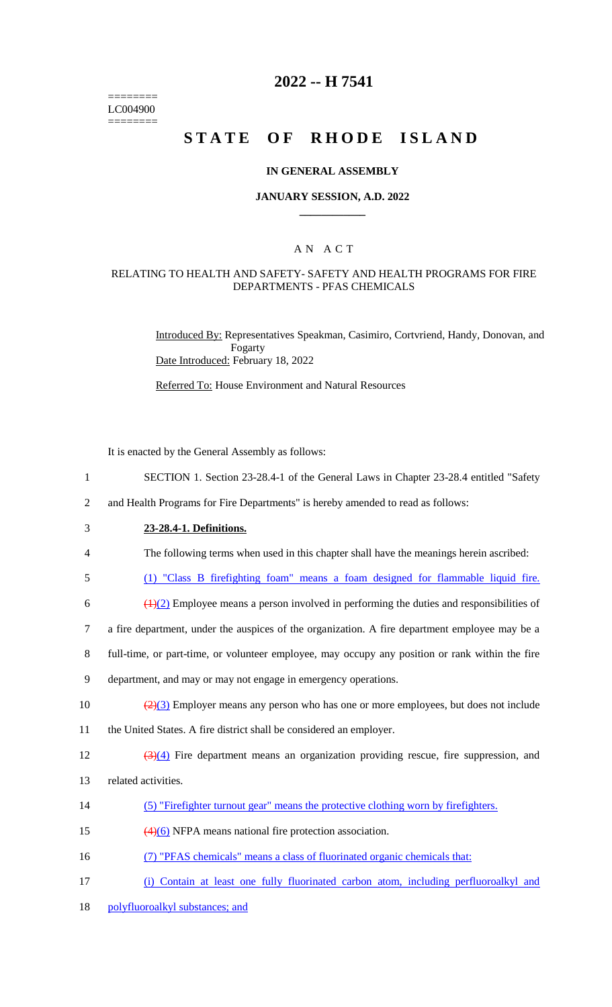======== LC004900 ========

## **2022 -- H 7541**

# **STATE OF RHODE ISLAND**

### **IN GENERAL ASSEMBLY**

### **JANUARY SESSION, A.D. 2022 \_\_\_\_\_\_\_\_\_\_\_\_**

## A N A C T

### RELATING TO HEALTH AND SAFETY- SAFETY AND HEALTH PROGRAMS FOR FIRE DEPARTMENTS - PFAS CHEMICALS

Introduced By: Representatives Speakman, Casimiro, Cortvriend, Handy, Donovan, and Fogarty Date Introduced: February 18, 2022

Referred To: House Environment and Natural Resources

It is enacted by the General Assembly as follows:

- 1 SECTION 1. Section 23-28.4-1 of the General Laws in Chapter 23-28.4 entitled "Safety
- 2 and Health Programs for Fire Departments" is hereby amended to read as follows:
- 3 **23-28.4-1. Definitions.**

- 4 The following terms when used in this chapter shall have the meanings herein ascribed:
- 5 (1) "Class B firefighting foam" means a foam designed for flammable liquid fire.
- 6  $\left(\frac{1}{2}\right)$  Employee means a person involved in performing the duties and responsibilities of
- 7 a fire department, under the auspices of the organization. A fire department employee may be a
- 8 full-time, or part-time, or volunteer employee, may occupy any position or rank within the fire
- 9 department, and may or may not engage in emergency operations.
- 10  $\left(\frac{2}{3}\right)$  Employer means any person who has one or more employees, but does not include 11 the United States. A fire district shall be considered an employer.
- 12 (3)(4) Fire department means an organization providing rescue, fire suppression, and
- 13 related activities.
- 14 (5) "Firefighter turnout gear" means the protective clothing worn by firefighters.
- 15 (4)(6) NFPA means national fire protection association.
- 16 (7) "PFAS chemicals" means a class of fluorinated organic chemicals that:
- 17 (i) Contain at least one fully fluorinated carbon atom, including perfluoroalkyl and
- 18 polyfluoroalkyl substances; and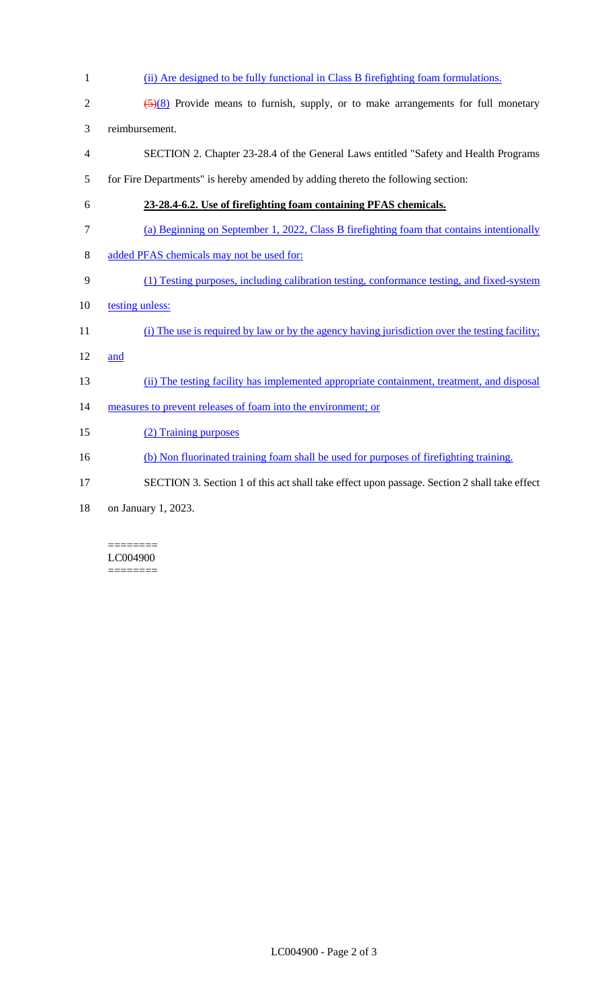| $\mathbf{1}$             | (ii) Are designed to be fully functional in Class B firefighting foam formulations.                    |
|--------------------------|--------------------------------------------------------------------------------------------------------|
| $\sqrt{2}$               | $\left(\frac{5}{8}\right)$ Provide means to furnish, supply, or to make arrangements for full monetary |
| 3                        | reimbursement.                                                                                         |
| $\overline{\mathcal{A}}$ | SECTION 2. Chapter 23-28.4 of the General Laws entitled "Safety and Health Programs"                   |
| 5                        | for Fire Departments" is hereby amended by adding thereto the following section:                       |
| 6                        | 23-28.4-6.2. Use of firefighting foam containing PFAS chemicals.                                       |
| 7                        | (a) Beginning on September 1, 2022, Class B firefighting foam that contains intentionally              |
| $8\,$                    | added PFAS chemicals may not be used for:                                                              |
| 9                        | (1) Testing purposes, including calibration testing, conformance testing, and fixed-system             |
| 10                       | testing unless:                                                                                        |
|                          |                                                                                                        |
| 11                       | (i) The use is required by law or by the agency having jurisdiction over the testing facility;         |
| 12                       | and                                                                                                    |
| 13                       | (ii) The testing facility has implemented appropriate containment, treatment, and disposal             |
| 14                       | measures to prevent releases of foam into the environment; or                                          |
| 15                       | (2) Training purposes                                                                                  |
| 16                       | (b) Non fluorinated training foam shall be used for purposes of firefighting training.                 |
| 17                       | SECTION 3. Section 1 of this act shall take effect upon passage. Section 2 shall take effect           |

#### ======== LC004900 ========